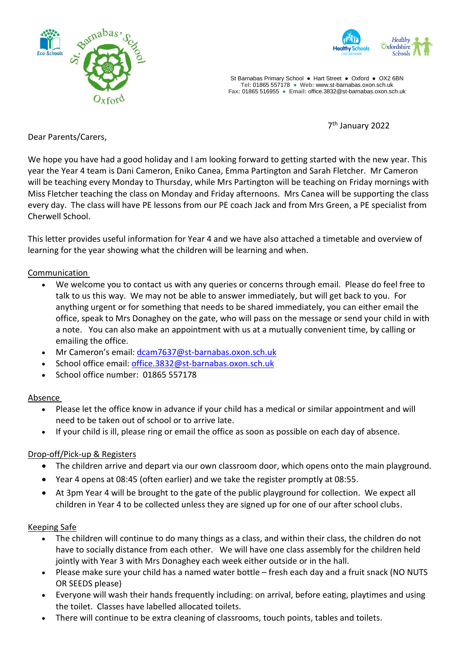



St Barnabas Primary School **●** Hart Street ● Oxford ● OX2 6BN **Tel:** 01865 557178 **● Web:** www.st-barnabas.oxon.sch.uk **Fax:** 01865 516955 ● **Email:** office.3832@st-barnabas.oxon.sch.uk

7 th January 2022

Dear Parents/Carers,

We hope you have had a good holiday and I am looking forward to getting started with the new year. This year the Year 4 team is Dani Cameron, Eniko Canea, Emma Partington and Sarah Fletcher. Mr Cameron will be teaching every Monday to Thursday, while Mrs Partington will be teaching on Friday mornings with Miss Fletcher teaching the class on Monday and Friday afternoons. Mrs Canea will be supporting the class every day. The class will have PE lessons from our PE coach Jack and from Mrs Green, a PE specialist from Cherwell School.

This letter provides useful information for Year 4 and we have also attached a timetable and overview of learning for the year showing what the children will be learning and when.

Communication

- We welcome you to contact us with any queries or concerns through email. Please do feel free to talk to us this way. We may not be able to answer immediately, but will get back to you. For anything urgent or for something that needs to be shared immediately, you can either email the office, speak to Mrs Donaghey on the gate, who will pass on the message or send your child in with a note. You can also make an appointment with us at a mutually convenient time, by calling or emailing the office.
- Mr Cameron's email: [dcam7637@st-barnabas.oxon.sch.uk](mailto:dcam7637@st-barnabas.oxon.sch.uk)
- School office email: [office.3832@st-barnabas.oxon.sch.uk](mailto:office.3832@st-barnabas.oxon.sch.uk)
- School office number: 01865 557178

# Absence

- Please let the office know in advance if your child has a medical or similar appointment and will need to be taken out of school or to arrive late.
- If your child is ill, please ring or email the office as soon as possible on each day of absence.

# Drop-off/Pick-up & Registers

- The children arrive and depart via our own classroom door, which opens onto the main playground.
- Year 4 opens at 08:45 (often earlier) and we take the register promptly at 08:55.
- At 3pm Year 4 will be brought to the gate of the public playground for collection. We expect all children in Year 4 to be collected unless they are signed up for one of our after school clubs.

# Keeping Safe

- The children will continue to do many things as a class, and within their class, the children do not have to socially distance from each other. We will have one class assembly for the children held jointly with Year 3 with Mrs Donaghey each week either outside or in the hall.
- Please make sure your child has a named water bottle fresh each day and a fruit snack (NO NUTS OR SEEDS please)
- Everyone will wash their hands frequently including: on arrival, before eating, playtimes and using the toilet. Classes have labelled allocated toilets.
- There will continue to be extra cleaning of classrooms, touch points, tables and toilets.